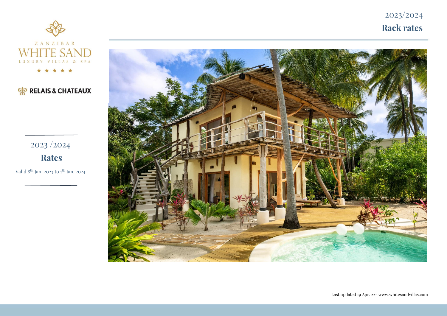2023/2024 **Rack rates**



## **OF RELAIS & CHATEAUX**

2023 /2024

**Rates**

Valid 8<sup>th</sup> Jan. 2023 to 7<sup>th</sup> Jan. 2024

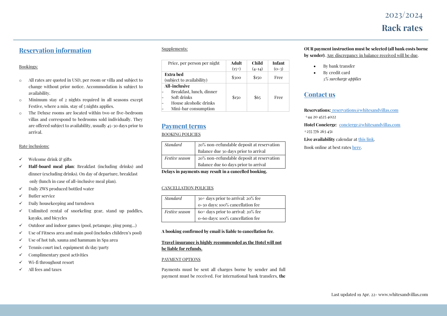# 2023/2024 **Rack rates**

## **Reservation information**

#### Bookings:

- o All rates are quoted in USD, per room or villa and subject to change without prior notice. Accommodation is subject to availability.
- o Minimum stay of 2 nights required in all seasons except Festive, where a min. stay of 5 nights applies.
- o The Deluxe rooms are located within two or five-bedroom villas and correspond to bedrooms sold individually. They are offered subject to availability, usually 45-30 days prior to arrival.

#### Rate inclusions:

- ✓ Welcome drink & gifts
- ✓ **Half-board meal plan**: Breakfast (including drinks) and dinner (excluding drinks). On day of departure, breakfast only (lunch in case of all-inclusive meal plan).
- ✓ Daily ZWS produced bottled water
- ✓ Butler service
- ✓ Daily housekeeping and turndown
- $\checkmark$  Unlimited rental of snorkeling gear, stand up paddles, kayaks, and bicycles
- $\checkmark$  Outdoor and indoor games (pool, petanque, ping pong...)
- $\checkmark$  Use of Fitness area and main pool (includes children's pool)
- $\checkmark$  Use of hot tub, sauna and hammam in Spa area
- $\checkmark$  Tennis court incl. equipment 1h/day/party
- $\checkmark$  Complimentary guest activities
- ✓ Wi-fi throughout resort
- ✓ All fees and taxes

#### Supplements:

| Price, per person per night                                                                                | Adult<br>$(15+)$ | Child<br>$(4-14)$ | <b>Infant</b><br>$(O-3)$ |
|------------------------------------------------------------------------------------------------------------|------------------|-------------------|--------------------------|
| Extra bed<br>(subject to availability)                                                                     | \$300            | \$150             | Free                     |
| All-inclusive<br>Breakfast, lunch, dinner<br>Soft drinks<br>House alcoholic drinks<br>Mini-bar consumption | \$150            | \$65              | Free                     |

### **Payment terms**

#### BOOKING POLICIES

| <b>Standard</b> | 20% non-refundable deposit at reservation |  |  |
|-----------------|-------------------------------------------|--|--|
|                 | Balance due 30 days prior to arrival      |  |  |
| Festive season  | 20% non-refundable deposit at reservation |  |  |
|                 | Balance due 60 days prior to arrival      |  |  |

**Delays in payments may result in a cancelled booking.**

#### CANCELLATION POLICIES

| <b>Standard</b>       | 30 <sup>+</sup> days prior to arrival: 20% fee |
|-----------------------|------------------------------------------------|
|                       | o-30 days: 100% cancellation fee               |
| <i>Festive season</i> | $60+$ days prior to arrival: $20\%$ fee        |
|                       | o-60 days: 100% cancellation fee               |

#### **A booking confirmed by email is liable to cancellation fee**.

#### **Travel insurance is highly recommended as the Hotel will not be liable for refunds.**

#### PAYMENT OPTIONS

Payments must be sent all charges borne by sender and full payment must be received. For international bank transfers, **the** 

#### **OUR payment instruction must be selected (all bank costs borne by sender)**. Any discrepancy in balance received will be due.

- By bank transfer
- By credit card *5% surcharge applies*

### **Contact us**

**Reservations:** [reservations@whitesandvillas.com](mailto:reservations@whitesandvillas.com)

+44 20 4525 4022

**Hotel Concierge**: [concierge@whitesandvillas.com](mailto:concierge@whitesandvillas.com) [+255 776 263 451](callto:255776263451)

**Live availability** calendar a[t this link.](https://sky-af1.clock-software.com/47570/8882/wbe/en/products/calendar_new?)

Book online at best rate[s here.](https://be.synxis.com/?adult=2&arrive=2021-02-10&chain=8565&child=0¤cy=USD&depart=2021-02-11&hotel=2028&level=hotel&locale=en-US&rooms=1)